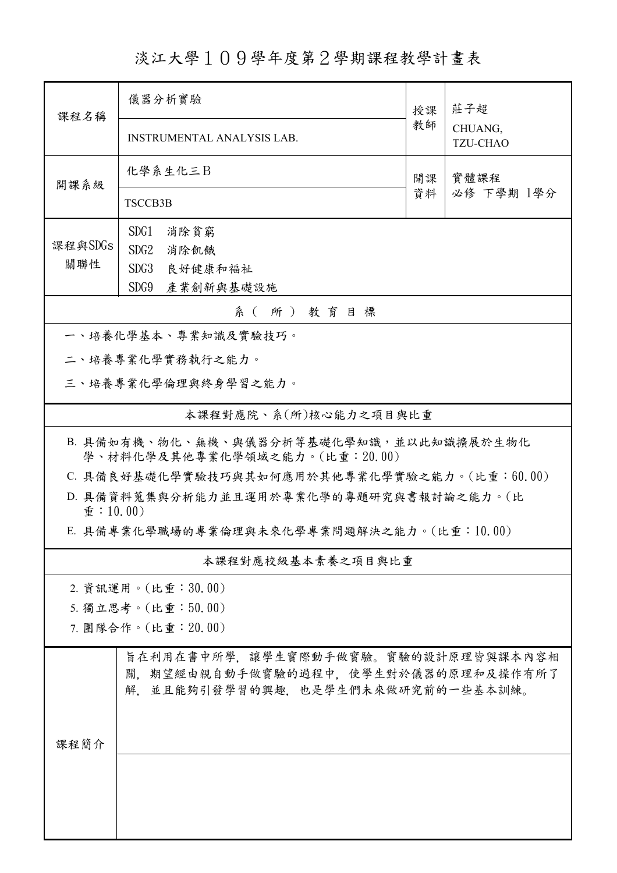淡江大學109學年度第2學期課程教學計畫表

| 課程名稱                                                                      | 儀器分析實驗<br>授課                                                                                                    |    | 莊子超                        |  |  |  |
|---------------------------------------------------------------------------|-----------------------------------------------------------------------------------------------------------------|----|----------------------------|--|--|--|
|                                                                           | <b>INSTRUMENTAL ANALYSIS LAB.</b>                                                                               | 教師 | CHUANG,<br><b>TZU-CHAO</b> |  |  |  |
| 開課系級                                                                      | 化學系生化三B                                                                                                         | 開課 | 實體課程                       |  |  |  |
|                                                                           | <b>TSCCB3B</b>                                                                                                  | 資料 | 必修 下學期 1學分                 |  |  |  |
|                                                                           | SDG1<br>消除貧窮                                                                                                    |    |                            |  |  |  |
| 課程與SDGs                                                                   | SDG2<br>消除飢餓                                                                                                    |    |                            |  |  |  |
| 關聯性                                                                       | SDG3<br>良好健康和福祉                                                                                                 |    |                            |  |  |  |
|                                                                           | SDG9<br>產業創新與基礎設施                                                                                               |    |                            |  |  |  |
| 系(所)教育目標<br>一、培養化學基本、專業知識及實驗技巧。                                           |                                                                                                                 |    |                            |  |  |  |
| 二、培養專業化學實務執行之能力。                                                          |                                                                                                                 |    |                            |  |  |  |
| 三、培養專業化學倫理與終身學習之能力。                                                       |                                                                                                                 |    |                            |  |  |  |
|                                                                           | 本課程對應院、系(所)核心能力之項目與比重                                                                                           |    |                            |  |  |  |
| B. 具備如有機、物化、無機、與儀器分析等基礎化學知識,並以此知識擴展於生物化<br>學、材料化學及其他專業化學領域之能力。(比重:20.00)  |                                                                                                                 |    |                            |  |  |  |
| C. 具備良好基礎化學實驗技巧與其如何應用於其他專業化學實驗之能力。(比重:60.00)                              |                                                                                                                 |    |                            |  |  |  |
| D. 具備資料蒐集與分析能力並且運用於專業化學的專題研究與書報討論之能力。(比<br>$\hat{\mathbf{\Phi}}$ : 10.00) |                                                                                                                 |    |                            |  |  |  |
|                                                                           | E. 具備專業化學職場的專業倫理與未來化學專業問題解決之能力。(比重:10.00)                                                                       |    |                            |  |  |  |
| 本課程對應校級基本素養之項目與比重                                                         |                                                                                                                 |    |                            |  |  |  |
|                                                                           | 2. 資訊運用。(比重:30.00)                                                                                              |    |                            |  |  |  |
|                                                                           | 5. 獨立思考。(比重:50.00)                                                                                              |    |                            |  |  |  |
| 7. 團隊合作。(比重: 20.00)                                                       |                                                                                                                 |    |                            |  |  |  |
|                                                                           | 旨在利用在書中所學,讓學生實際動手做實驗。實驗的設計原理皆與課本內容相<br>關,期望經由親自動手做實驗的過程中,使學生對於儀器的原理和及操作有所了<br>解,並且能夠引發學習的興趣,也是學生們未來做研究前的一些基本訓練。 |    |                            |  |  |  |
| 課程簡介                                                                      |                                                                                                                 |    |                            |  |  |  |
|                                                                           |                                                                                                                 |    |                            |  |  |  |
|                                                                           |                                                                                                                 |    |                            |  |  |  |
|                                                                           |                                                                                                                 |    |                            |  |  |  |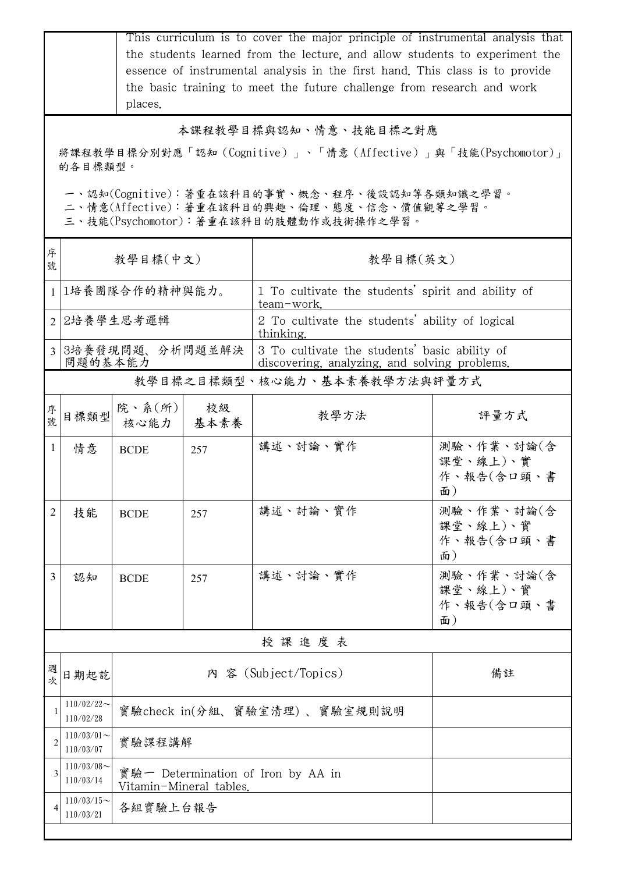|                                                                                                                                        |                              | This curriculum is to cover the major principle of instrumental analysis that<br>the students learned from the lecture, and allow students to experiment the<br>essence of instrumental analysis in the first hand. This class is to provide<br>the basic training to meet the future challenge from research and work<br>places. |            |                                                                                                |                                            |  |  |
|----------------------------------------------------------------------------------------------------------------------------------------|------------------------------|-----------------------------------------------------------------------------------------------------------------------------------------------------------------------------------------------------------------------------------------------------------------------------------------------------------------------------------|------------|------------------------------------------------------------------------------------------------|--------------------------------------------|--|--|
| 本課程教學目標與認知、情意、技能目標之對應                                                                                                                  |                              |                                                                                                                                                                                                                                                                                                                                   |            |                                                                                                |                                            |  |  |
| 將課程教學目標分別對應「認知(Cognitive)」、「情意(Affective)」與「技能(Psychomotor)」                                                                           |                              |                                                                                                                                                                                                                                                                                                                                   |            |                                                                                                |                                            |  |  |
|                                                                                                                                        | 的各目標類型。                      |                                                                                                                                                                                                                                                                                                                                   |            |                                                                                                |                                            |  |  |
| 一、認知(Cognitive):著重在該科目的事實、概念、程序、後設認知等各類知識之學習。<br>二、情意(Affective):著重在該科目的興趣、倫理、態度、信念、價值觀等之學習。<br>三、技能(Psychomotor):著重在該科目的肢體動作或技術操作之學習。 |                              |                                                                                                                                                                                                                                                                                                                                   |            |                                                                                                |                                            |  |  |
| 序<br>號                                                                                                                                 |                              | 教學目標(中文)                                                                                                                                                                                                                                                                                                                          |            | 教學目標(英文)                                                                                       |                                            |  |  |
| $\mathbf{1}$                                                                                                                           |                              | 1培養團隊合作的精神與能力。                                                                                                                                                                                                                                                                                                                    |            | 1 To cultivate the students' spirit and ability of<br>team-work.                               |                                            |  |  |
|                                                                                                                                        |                              | 2 2培養學生思考邏輯                                                                                                                                                                                                                                                                                                                       |            | 2 To cultivate the students' ability of logical<br>thinking.                                   |                                            |  |  |
| $\mathcal{E}$                                                                                                                          | 問題的基本能力                      | 3培養發現問題、分析問題並解決                                                                                                                                                                                                                                                                                                                   |            | 3 To cultivate the students' basic ability of<br>discovering, analyzing, and solving problems. |                                            |  |  |
|                                                                                                                                        | 教學目標之目標類型、核心能力、基本素養教學方法與評量方式 |                                                                                                                                                                                                                                                                                                                                   |            |                                                                                                |                                            |  |  |
| 序<br>號                                                                                                                                 | 目標類型                         | 院、系 $(\text{m})$<br>核心能力                                                                                                                                                                                                                                                                                                          | 校級<br>基本素養 | 教學方法                                                                                           | 評量方式                                       |  |  |
| 1                                                                                                                                      | 情意                           | <b>BCDE</b>                                                                                                                                                                                                                                                                                                                       | 257        | 講述、討論、實作                                                                                       | 測驗、作業、討論(含<br>課堂、線上)、實<br>作、報告(含口頭、書<br>面) |  |  |
| $\overline{2}$                                                                                                                         | 技能                           | <b>BCDE</b>                                                                                                                                                                                                                                                                                                                       | 257        | 講述、討論、實作                                                                                       | 測驗、作業、討論(含<br>課堂、線上)、實<br>作、報告(含口頭、書<br>面) |  |  |
| 3                                                                                                                                      | 認知                           | <b>BCDE</b>                                                                                                                                                                                                                                                                                                                       | 257        | 講述、討論、實作                                                                                       | 測驗、作業、討論(含<br>課堂、線上)、實<br>作、報告(含口頭、書<br>面) |  |  |
|                                                                                                                                        |                              |                                                                                                                                                                                                                                                                                                                                   |            | 授課進度表                                                                                          |                                            |  |  |
| 週<br>次                                                                                                                                 | 日期起訖                         |                                                                                                                                                                                                                                                                                                                                   |            | 內 容 (Subject/Topics)                                                                           | 備註                                         |  |  |
|                                                                                                                                        | $110/02/22$ ~<br>110/02/28   |                                                                                                                                                                                                                                                                                                                                   |            | 實驗check in(分組、實驗室清理) 、實驗室規則說明                                                                  |                                            |  |  |
| $\overline{2}$                                                                                                                         | $110/03/01$ ~<br>110/03/07   | 實驗課程講解                                                                                                                                                                                                                                                                                                                            |            |                                                                                                |                                            |  |  |
| 3                                                                                                                                      | $110/03/08$ ~<br>110/03/14   | 實驗一 Determination of Iron by AA in<br>Vitamin-Mineral tables.                                                                                                                                                                                                                                                                     |            |                                                                                                |                                            |  |  |
| 4                                                                                                                                      | $110/03/15$ ~<br>110/03/21   | 各組實驗上台報告                                                                                                                                                                                                                                                                                                                          |            |                                                                                                |                                            |  |  |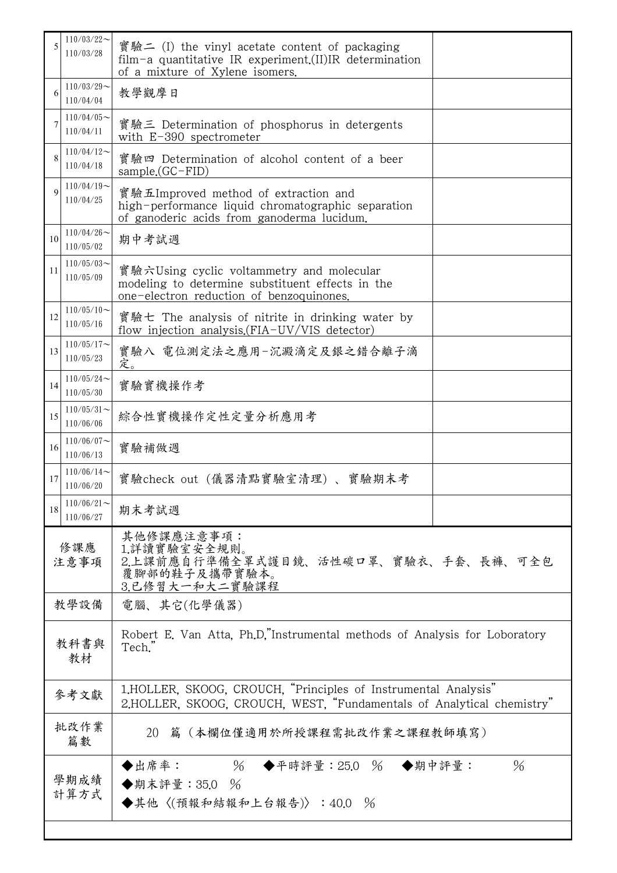| 5           | $110/03/22$ ~<br>110/03/28 | 實驗二 (I) the vinyl acetate content of packaging<br>film-a quantitative IR experiment. $(II)$ IR determination<br>of a mixture of Xylene isomers. |  |  |
|-------------|----------------------------|-------------------------------------------------------------------------------------------------------------------------------------------------|--|--|
| 6           | $110/03/29$ ~<br>110/04/04 | 教學觀摩日                                                                                                                                           |  |  |
|             | $110/04/05$ ~<br>110/04/11 | 實驗三 Determination of phosphorus in detergents<br>with $E-390$ spectrometer                                                                      |  |  |
| 8           | $110/04/12$ ~<br>110/04/18 | 實驗四 Determination of alcohol content of a beer<br>sample.(GC-FID)                                                                               |  |  |
| $\mathbf Q$ | $110/04/19$ ~<br>110/04/25 | 實驗五Improved method of extraction and<br>high-performance liquid chromatographic separation<br>of ganoderic acids from ganoderma lucidum.        |  |  |
| 10          | $110/04/26$ ~<br>110/05/02 | 期中考試週                                                                                                                                           |  |  |
| 11          | $110/05/03$ ~<br>110/05/09 | 實驗六Using cyclic voltammetry and molecular<br>modeling to determine substituent effects in the<br>one-electron reduction of benzoquinones.       |  |  |
| 12          | $110/05/10$ ~<br>110/05/16 | 實驗七 The analysis of nitrite in drinking water by<br>flow injection analysis. (FIA-UV/VIS detector)                                              |  |  |
| 13          | $110/05/17$ ~<br>110/05/23 | 實驗八 電位測定法之應用-沉澱滴定及銀之錯合離子滴<br>定。                                                                                                                 |  |  |
| 14          | $110/05/24$ ~<br>110/05/30 | 實驗實機操作考                                                                                                                                         |  |  |
| 15          | $110/05/31$ ~<br>110/06/06 | 綜合性實機操作定性定量分析應用考                                                                                                                                |  |  |
| 16          | $110/06/07$ ~<br>110/06/13 | 實驗補做週                                                                                                                                           |  |  |
| 17          | $110/06/14$ ~<br>110/06/20 | 實驗check out (儀器清點實驗室清理)、實驗期末考                                                                                                                   |  |  |
| 18          | $110/06/21$ ~<br>110/06/27 | 期末考試週                                                                                                                                           |  |  |
| 修課應<br>注意事項 |                            | 其他修課應注意事項:<br>1.詳讀實驗室安全規則。<br>2.上課前應自行準備全罩式護目鏡、活性碳口罩、實驗衣、手套、長褲、可全包<br>覆腳部的鞋子及攜帶實驗本。<br>3.已修習大一和大二實驗課程                                           |  |  |
| 教學設備        |                            | 電腦、其它(化學儀器)                                                                                                                                     |  |  |
| 教科書與<br>教材  |                            | Robert E. Van Atta, Ph.D."Instrumental methods of Analysis for Loboratory<br>Tech."                                                             |  |  |
|             | 參考文獻                       | 1.HOLLER, SKOOG, CROUCH, "Principles of Instrumental Analysis"<br>2.HOLLER, SKOOG, CROUCH, WEST, "Fundamentals of Analytical chemistry"         |  |  |
| 批改作業<br>篇數  |                            | 20 篇 (本欄位僅適用於所授課程需批改作業之課程教師填寫)                                                                                                                  |  |  |
|             | 學期成績<br>計算方式               | ◆出席率:<br>$%$ ◆平時評量:25.0 % ◆期中評量:<br>$\%$<br>◆期末評量: 35.0 %<br>◆其他〈(預報和結報和上台報告)〉:40.0 %                                                           |  |  |